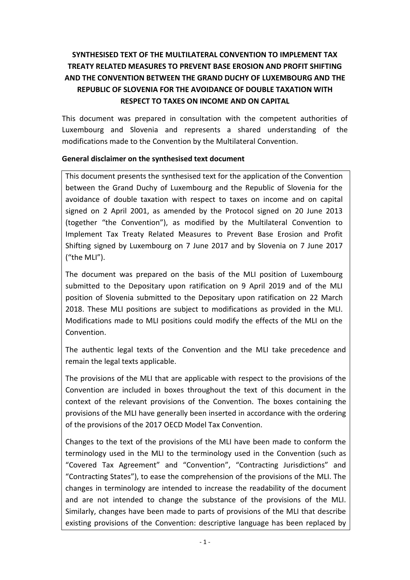# **SYNTHESISED TEXT OF THE MULTILATERAL CONVENTION TO IMPLEMENT TAX TREATY RELATED MEASURES TO PREVENT BASE EROSION AND PROFIT SHIFTING AND THE CONVENTION BETWEEN THE GRAND DUCHY OF LUXEMBOURG AND THE REPUBLIC OF SLOVENIA FOR THE AVOIDANCE OF DOUBLE TAXATION WITH RESPECT TO TAXES ON INCOME AND ON CAPITAL**

This document was prepared in consultation with the competent authorities of Luxembourg and Slovenia and represents a shared understanding of the modifications made to the Convention by the Multilateral Convention.

## **General disclaimer on the synthesised text document**

This document presents the synthesised text for the application of the Convention between the Grand Duchy of Luxembourg and the Republic of Slovenia for the avoidance of double taxation with respect to taxes on income and on capital signed on 2 April 2001, as amended by the Protocol signed on 20 June 2013 (together "the Convention"), as modified by the Multilateral Convention to Implement Tax Treaty Related Measures to Prevent Base Erosion and Profit Shifting signed by Luxembourg on 7 June 2017 and by Slovenia on 7 June 2017 ("the MLI").

The document was prepared on the basis of the MLI position of Luxembourg submitted to the Depositary upon ratification on 9 April 2019 and of the MLI position of Slovenia submitted to the Depositary upon ratification on 22 March 2018. These MLI positions are subject to modifications as provided in the MLI. Modifications made to MLI positions could modify the effects of the MLI on the Convention.

The authentic legal texts of the Convention and the MLI take precedence and remain the legal texts applicable.

The provisions of the MLI that are applicable with respect to the provisions of the Convention are included in boxes throughout the text of this document in the context of the relevant provisions of the Convention. The boxes containing the provisions of the MLI have generally been inserted in accordance with the ordering of the provisions of the 2017 OECD Model Tax Convention.

Changes to the text of the provisions of the MLI have been made to conform the terminology used in the MLI to the terminology used in the Convention (such as "Covered Tax Agreement" and "Convention", "Contracting Jurisdictions" and "Contracting States"), to ease the comprehension of the provisions of the MLI. The changes in terminology are intended to increase the readability of the document and are not intended to change the substance of the provisions of the MLI. Similarly, changes have been made to parts of provisions of the MLI that describe existing provisions of the Convention: descriptive language has been replaced by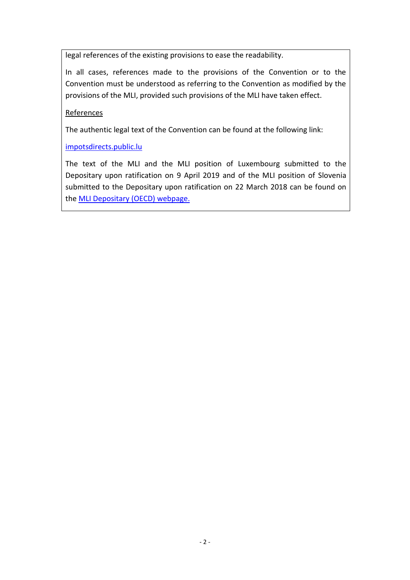legal references of the existing provisions to ease the readability.

In all cases, references made to the provisions of the Convention or to the Convention must be understood as referring to the Convention as modified by the provisions of the MLI, provided such provisions of the MLI have taken effect.

## References

The authentic legal text of the Convention can be found at the following link:

[impotsdirects.public.lu](https://impotsdirects.public.lu/fr.html)

The text of the MLI and the MLI position of Luxembourg submitted to the Depositary upon ratification on 9 April 2019 and of the MLI position of Slovenia submitted to the Depositary upon ratification on 22 March 2018 can be found on the [MLI Depositary \(OECD\) webpage.](https://www.oecd.org/tax/treaties/multilateral-convention-to-implement-tax-treaty-related-measures-to-prevent-beps.htm)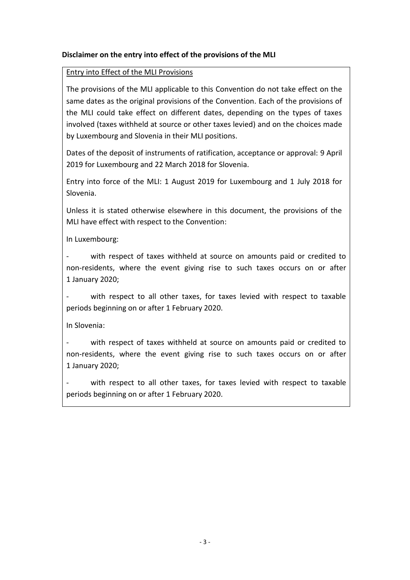## **Disclaimer on the entry into effect of the provisions of the MLI**

### Entry into Effect of the MLI Provisions

The provisions of the MLI applicable to this Convention do not take effect on the same dates as the original provisions of the Convention. Each of the provisions of the MLI could take effect on different dates, depending on the types of taxes involved (taxes withheld at source or other taxes levied) and on the choices made by Luxembourg and Slovenia in their MLI positions.

Dates of the deposit of instruments of ratification, acceptance or approval: 9 April 2019 for Luxembourg and 22 March 2018 for Slovenia.

Entry into force of the MLI: 1 August 2019 for Luxembourg and 1 July 2018 for Slovenia.

Unless it is stated otherwise elsewhere in this document, the provisions of the MLI have effect with respect to the Convention:

In Luxembourg:

with respect of taxes withheld at source on amounts paid or credited to non-residents, where the event giving rise to such taxes occurs on or after 1 January 2020;

with respect to all other taxes, for taxes levied with respect to taxable periods beginning on or after 1 February 2020.

In Slovenia:

with respect of taxes withheld at source on amounts paid or credited to non-residents, where the event giving rise to such taxes occurs on or after 1 January 2020;

with respect to all other taxes, for taxes levied with respect to taxable periods beginning on or after 1 February 2020.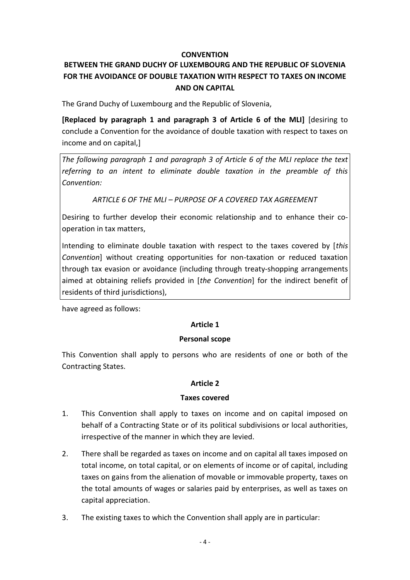#### **CONVENTION**

# **BETWEEN THE GRAND DUCHY OF LUXEMBOURG AND THE REPUBLIC OF SLOVENIA FOR THE AVOIDANCE OF DOUBLE TAXATION WITH RESPECT TO TAXES ON INCOME AND ON CAPITAL**

The Grand Duchy of Luxembourg and the Republic of Slovenia,

**[Replaced by paragraph 1 and paragraph 3 of Article 6 of the MLI]** [desiring to conclude a Convention for the avoidance of double taxation with respect to taxes on income and on capital,]

*The following paragraph 1 and paragraph 3 of Article 6 of the MLI replace the text referring to an intent to eliminate double taxation in the preamble of this Convention:*

*ARTICLE 6 OF THE MLI – PURPOSE OF A COVERED TAX AGREEMENT*

Desiring to further develop their economic relationship and to enhance their cooperation in tax matters,

Intending to eliminate double taxation with respect to the taxes covered by [*this Convention*] without creating opportunities for non-taxation or reduced taxation through tax evasion or avoidance (including through treaty-shopping arrangements aimed at obtaining reliefs provided in [*the Convention*] for the indirect benefit of residents of third jurisdictions),

have agreed as follows:

## **Article 1**

#### **Personal scope**

This Convention shall apply to persons who are residents of one or both of the Contracting States.

## **Article 2**

#### **Taxes covered**

- 1. This Convention shall apply to taxes on income and on capital imposed on behalf of a Contracting State or of its political subdivisions or local authorities, irrespective of the manner in which they are levied.
- 2. There shall be regarded as taxes on income and on capital all taxes imposed on total income, on total capital, or on elements of income or of capital, including taxes on gains from the alienation of movable or immovable property, taxes on the total amounts of wages or salaries paid by enterprises, as well as taxes on capital appreciation.
- 3. The existing taxes to which the Convention shall apply are in particular: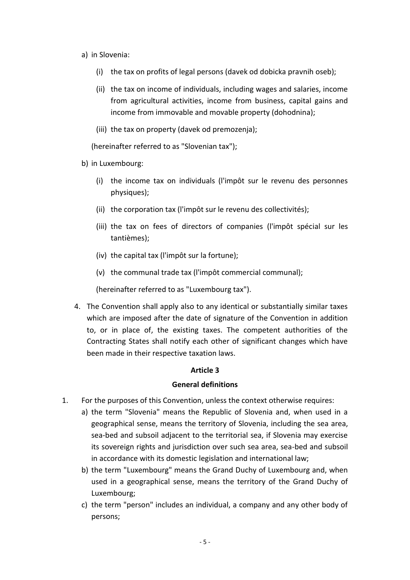- a) in Slovenia:
	- (i) the tax on profits of legal persons (davek od dobicka pravnih oseb);
	- (ii) the tax on income of individuals, including wages and salaries, income from agricultural activities, income from business, capital gains and income from immovable and movable property (dohodnina);
	- (iii) the tax on property (davek od premozenja);

(hereinafter referred to as "Slovenian tax");

- b) in Luxembourg:
	- (i) the income tax on individuals (l'impôt sur le revenu des personnes physiques);
	- (ii) the corporation tax (l'impôt sur le revenu des collectivités);
	- (iii) the tax on fees of directors of companies (l'impôt spécial sur les tantièmes);
	- (iv) the capital tax (l'impôt sur la fortune);
	- (v) the communal trade tax (l'impôt commercial communal);

(hereinafter referred to as "Luxembourg tax").

4. The Convention shall apply also to any identical or substantially similar taxes which are imposed after the date of signature of the Convention in addition to, or in place of, the existing taxes. The competent authorities of the Contracting States shall notify each other of significant changes which have been made in their respective taxation laws.

#### **Article 3**

#### **General definitions**

- 1. For the purposes of this Convention, unless the context otherwise requires:
	- a) the term "Slovenia" means the Republic of Slovenia and, when used in a geographical sense, means the territory of Slovenia, including the sea area, sea-bed and subsoil adjacent to the territorial sea, if Slovenia may exercise its sovereign rights and jurisdiction over such sea area, sea-bed and subsoil in accordance with its domestic legislation and international law;
	- b) the term "Luxembourg" means the Grand Duchy of Luxembourg and, when used in a geographical sense, means the territory of the Grand Duchy of Luxembourg;
	- c) the term "person" includes an individual, a company and any other body of persons;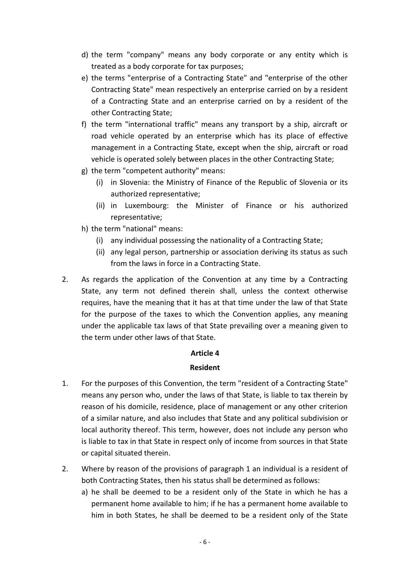- d) the term "company" means any body corporate or any entity which is treated as a body corporate for tax purposes;
- e) the terms "enterprise of a Contracting State" and "enterprise of the other Contracting State" mean respectively an enterprise carried on by a resident of a Contracting State and an enterprise carried on by a resident of the other Contracting State;
- f) the term "international traffic" means any transport by a ship, aircraft or road vehicle operated by an enterprise which has its place of effective management in a Contracting State, except when the ship, aircraft or road vehicle is operated solely between places in the other Contracting State;
- g) the term "competent authority" means:
	- (i) in Slovenia: the Ministry of Finance of the Republic of Slovenia or its authorized representative;
	- (ii) in Luxembourg: the Minister of Finance or his authorized representative;
- h) the term "national" means:
	- (i) any individual possessing the nationality of a Contracting State;
	- (ii) any legal person, partnership or association deriving its status as such from the laws in force in a Contracting State.
- 2. As regards the application of the Convention at any time by a Contracting State, any term not defined therein shall, unless the context otherwise requires, have the meaning that it has at that time under the law of that State for the purpose of the taxes to which the Convention applies, any meaning under the applicable tax laws of that State prevailing over a meaning given to the term under other laws of that State.

#### **Article 4**

#### **Resident**

- 1. For the purposes of this Convention, the term "resident of a Contracting State" means any person who, under the laws of that State, is liable to tax therein by reason of his domicile, residence, place of management or any other criterion of a similar nature, and also includes that State and any political subdivision or local authority thereof. This term, however, does not include any person who is liable to tax in that State in respect only of income from sources in that State or capital situated therein.
- 2. Where by reason of the provisions of paragraph 1 an individual is a resident of both Contracting States, then his status shall be determined as follows:
	- a) he shall be deemed to be a resident only of the State in which he has a permanent home available to him; if he has a permanent home available to him in both States, he shall be deemed to be a resident only of the State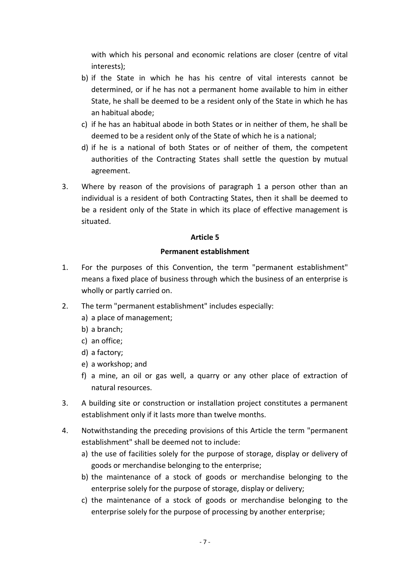with which his personal and economic relations are closer (centre of vital interests);

- b) if the State in which he has his centre of vital interests cannot be determined, or if he has not a permanent home available to him in either State, he shall be deemed to be a resident only of the State in which he has an habitual abode;
- c) if he has an habitual abode in both States or in neither of them, he shall be deemed to be a resident only of the State of which he is a national;
- d) if he is a national of both States or of neither of them, the competent authorities of the Contracting States shall settle the question by mutual agreement.
- 3. Where by reason of the provisions of paragraph 1 a person other than an individual is a resident of both Contracting States, then it shall be deemed to be a resident only of the State in which its place of effective management is situated.

## **Article 5**

### **Permanent establishment**

- 1. For the purposes of this Convention, the term "permanent establishment" means a fixed place of business through which the business of an enterprise is wholly or partly carried on.
- 2. The term "permanent establishment" includes especially:
	- a) a place of management;
	- b) a branch;
	- c) an office;
	- d) a factory;
	- e) a workshop; and
	- f) a mine, an oil or gas well, a quarry or any other place of extraction of natural resources.
- 3. A building site or construction or installation project constitutes a permanent establishment only if it lasts more than twelve months.
- 4. Notwithstanding the preceding provisions of this Article the term "permanent establishment" shall be deemed not to include:
	- a) the use of facilities solely for the purpose of storage, display or delivery of goods or merchandise belonging to the enterprise;
	- b) the maintenance of a stock of goods or merchandise belonging to the enterprise solely for the purpose of storage, display or delivery;
	- c) the maintenance of a stock of goods or merchandise belonging to the enterprise solely for the purpose of processing by another enterprise;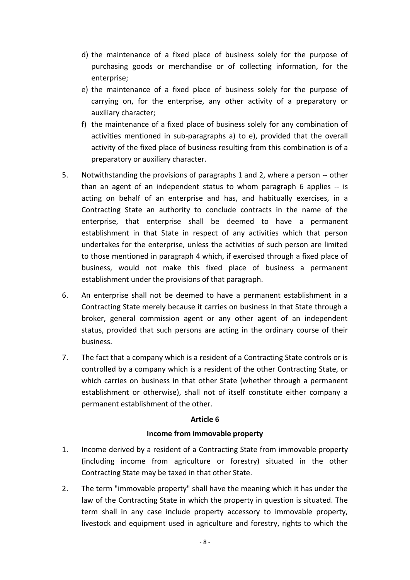- d) the maintenance of a fixed place of business solely for the purpose of purchasing goods or merchandise or of collecting information, for the enterprise;
- e) the maintenance of a fixed place of business solely for the purpose of carrying on, for the enterprise, any other activity of a preparatory or auxiliary character;
- f) the maintenance of a fixed place of business solely for any combination of activities mentioned in sub-paragraphs a) to e), provided that the overall activity of the fixed place of business resulting from this combination is of a preparatory or auxiliary character.
- 5. Notwithstanding the provisions of paragraphs 1 and 2, where a person -- other than an agent of an independent status to whom paragraph 6 applies -- is acting on behalf of an enterprise and has, and habitually exercises, in a Contracting State an authority to conclude contracts in the name of the enterprise, that enterprise shall be deemed to have a permanent establishment in that State in respect of any activities which that person undertakes for the enterprise, unless the activities of such person are limited to those mentioned in paragraph 4 which, if exercised through a fixed place of business, would not make this fixed place of business a permanent establishment under the provisions of that paragraph.
- 6. An enterprise shall not be deemed to have a permanent establishment in a Contracting State merely because it carries on business in that State through a broker, general commission agent or any other agent of an independent status, provided that such persons are acting in the ordinary course of their business.
- 7. The fact that a company which is a resident of a Contracting State controls or is controlled by a company which is a resident of the other Contracting State, or which carries on business in that other State (whether through a permanent establishment or otherwise), shall not of itself constitute either company a permanent establishment of the other.

#### **Article 6**

## **Income from immovable property**

- 1. Income derived by a resident of a Contracting State from immovable property (including income from agriculture or forestry) situated in the other Contracting State may be taxed in that other State.
- 2. The term "immovable property" shall have the meaning which it has under the law of the Contracting State in which the property in question is situated. The term shall in any case include property accessory to immovable property, livestock and equipment used in agriculture and forestry, rights to which the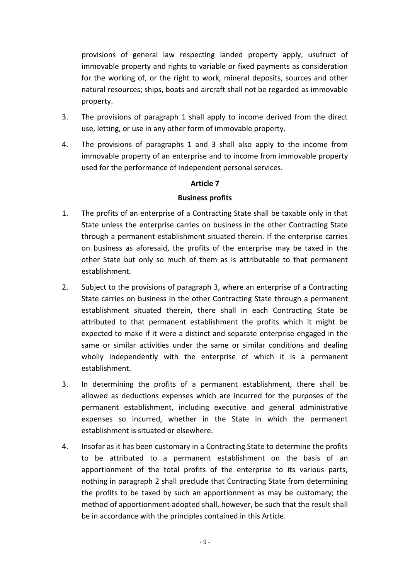provisions of general law respecting landed property apply, usufruct of immovable property and rights to variable or fixed payments as consideration for the working of, or the right to work, mineral deposits, sources and other natural resources; ships, boats and aircraft shall not be regarded as immovable property.

- 3. The provisions of paragraph 1 shall apply to income derived from the direct use, letting, or use in any other form of immovable property.
- 4. The provisions of paragraphs 1 and 3 shall also apply to the income from immovable property of an enterprise and to income from immovable property used for the performance of independent personal services.

## **Article 7**

### **Business profits**

- 1. The profits of an enterprise of a Contracting State shall be taxable only in that State unless the enterprise carries on business in the other Contracting State through a permanent establishment situated therein. If the enterprise carries on business as aforesaid, the profits of the enterprise may be taxed in the other State but only so much of them as is attributable to that permanent establishment.
- 2. Subject to the provisions of paragraph 3, where an enterprise of a Contracting State carries on business in the other Contracting State through a permanent establishment situated therein, there shall in each Contracting State be attributed to that permanent establishment the profits which it might be expected to make if it were a distinct and separate enterprise engaged in the same or similar activities under the same or similar conditions and dealing wholly independently with the enterprise of which it is a permanent establishment.
- 3. In determining the profits of a permanent establishment, there shall be allowed as deductions expenses which are incurred for the purposes of the permanent establishment, including executive and general administrative expenses so incurred, whether in the State in which the permanent establishment is situated or elsewhere.
- 4. Insofar as it has been customary in a Contracting State to determine the profits to be attributed to a permanent establishment on the basis of an apportionment of the total profits of the enterprise to its various parts, nothing in paragraph 2 shall preclude that Contracting State from determining the profits to be taxed by such an apportionment as may be customary; the method of apportionment adopted shall, however, be such that the result shall be in accordance with the principles contained in this Article.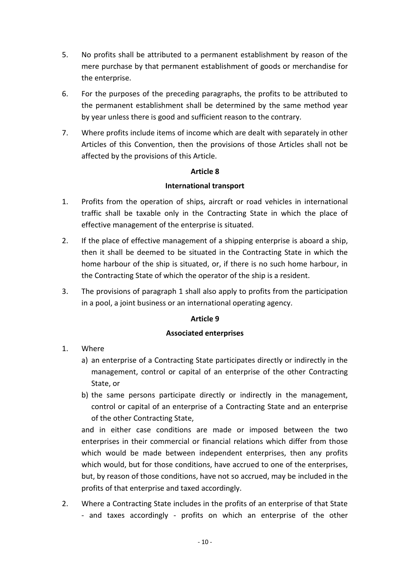- 5. No profits shall be attributed to a permanent establishment by reason of the mere purchase by that permanent establishment of goods or merchandise for the enterprise.
- 6. For the purposes of the preceding paragraphs, the profits to be attributed to the permanent establishment shall be determined by the same method year by year unless there is good and sufficient reason to the contrary.
- 7. Where profits include items of income which are dealt with separately in other Articles of this Convention, then the provisions of those Articles shall not be affected by the provisions of this Article.

## **Article 8**

### **International transport**

- 1. Profits from the operation of ships, aircraft or road vehicles in international traffic shall be taxable only in the Contracting State in which the place of effective management of the enterprise is situated.
- 2. If the place of effective management of a shipping enterprise is aboard a ship, then it shall be deemed to be situated in the Contracting State in which the home harbour of the ship is situated, or, if there is no such home harbour, in the Contracting State of which the operator of the ship is a resident.
- 3. The provisions of paragraph 1 shall also apply to profits from the participation in a pool, a joint business or an international operating agency.

## **Article 9**

#### **Associated enterprises**

- 1. Where
	- a) an enterprise of a Contracting State participates directly or indirectly in the management, control or capital of an enterprise of the other Contracting State, or
	- b) the same persons participate directly or indirectly in the management, control or capital of an enterprise of a Contracting State and an enterprise of the other Contracting State,

and in either case conditions are made or imposed between the two enterprises in their commercial or financial relations which differ from those which would be made between independent enterprises, then any profits which would, but for those conditions, have accrued to one of the enterprises, but, by reason of those conditions, have not so accrued, may be included in the profits of that enterprise and taxed accordingly.

2. Where a Contracting State includes in the profits of an enterprise of that State - and taxes accordingly - profits on which an enterprise of the other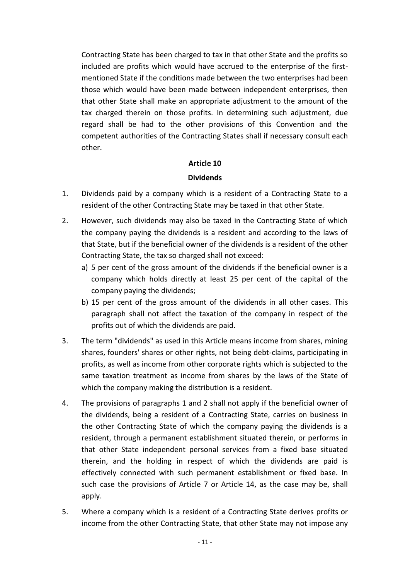Contracting State has been charged to tax in that other State and the profits so included are profits which would have accrued to the enterprise of the firstmentioned State if the conditions made between the two enterprises had been those which would have been made between independent enterprises, then that other State shall make an appropriate adjustment to the amount of the tax charged therein on those profits. In determining such adjustment, due regard shall be had to the other provisions of this Convention and the competent authorities of the Contracting States shall if necessary consult each other.

### **Article 10**

### **Dividends**

- 1. Dividends paid by a company which is a resident of a Contracting State to a resident of the other Contracting State may be taxed in that other State.
- 2. However, such dividends may also be taxed in the Contracting State of which the company paying the dividends is a resident and according to the laws of that State, but if the beneficial owner of the dividends is a resident of the other Contracting State, the tax so charged shall not exceed:
	- a) 5 per cent of the gross amount of the dividends if the beneficial owner is a company which holds directly at least 25 per cent of the capital of the company paying the dividends;
	- b) 15 per cent of the gross amount of the dividends in all other cases. This paragraph shall not affect the taxation of the company in respect of the profits out of which the dividends are paid.
- 3. The term "dividends" as used in this Article means income from shares, mining shares, founders' shares or other rights, not being debt-claims, participating in profits, as well as income from other corporate rights which is subjected to the same taxation treatment as income from shares by the laws of the State of which the company making the distribution is a resident.
- 4. The provisions of paragraphs 1 and 2 shall not apply if the beneficial owner of the dividends, being a resident of a Contracting State, carries on business in the other Contracting State of which the company paying the dividends is a resident, through a permanent establishment situated therein, or performs in that other State independent personal services from a fixed base situated therein, and the holding in respect of which the dividends are paid is effectively connected with such permanent establishment or fixed base. In such case the provisions of Article 7 or Article 14, as the case may be, shall apply.
- 5. Where a company which is a resident of a Contracting State derives profits or income from the other Contracting State, that other State may not impose any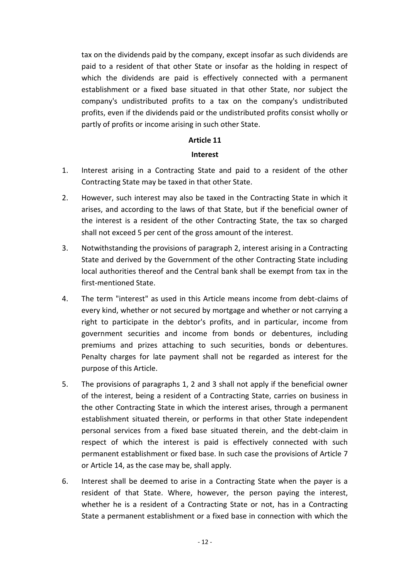tax on the dividends paid by the company, except insofar as such dividends are paid to a resident of that other State or insofar as the holding in respect of which the dividends are paid is effectively connected with a permanent establishment or a fixed base situated in that other State, nor subject the company's undistributed profits to a tax on the company's undistributed profits, even if the dividends paid or the undistributed profits consist wholly or partly of profits or income arising in such other State.

### **Article 11**

### **Interest**

- 1. Interest arising in a Contracting State and paid to a resident of the other Contracting State may be taxed in that other State.
- 2. However, such interest may also be taxed in the Contracting State in which it arises, and according to the laws of that State, but if the beneficial owner of the interest is a resident of the other Contracting State, the tax so charged shall not exceed 5 per cent of the gross amount of the interest.
- 3. Notwithstanding the provisions of paragraph 2, interest arising in a Contracting State and derived by the Government of the other Contracting State including local authorities thereof and the Central bank shall be exempt from tax in the first-mentioned State.
- 4. The term "interest" as used in this Article means income from debt-claims of every kind, whether or not secured by mortgage and whether or not carrying a right to participate in the debtor's profits, and in particular, income from government securities and income from bonds or debentures, including premiums and prizes attaching to such securities, bonds or debentures. Penalty charges for late payment shall not be regarded as interest for the purpose of this Article.
- 5. The provisions of paragraphs 1, 2 and 3 shall not apply if the beneficial owner of the interest, being a resident of a Contracting State, carries on business in the other Contracting State in which the interest arises, through a permanent establishment situated therein, or performs in that other State independent personal services from a fixed base situated therein, and the debt-claim in respect of which the interest is paid is effectively connected with such permanent establishment or fixed base. In such case the provisions of Article 7 or Article 14, as the case may be, shall apply.
- 6. Interest shall be deemed to arise in a Contracting State when the payer is a resident of that State. Where, however, the person paying the interest, whether he is a resident of a Contracting State or not, has in a Contracting State a permanent establishment or a fixed base in connection with which the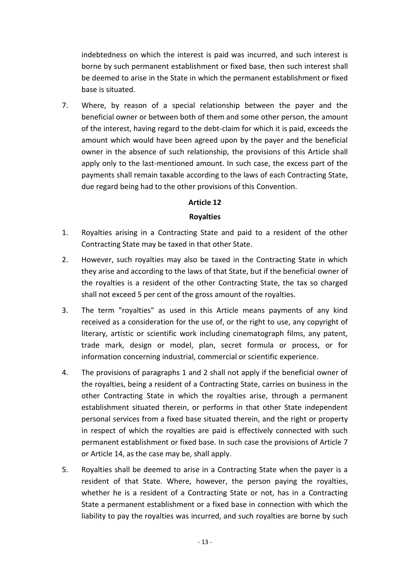indebtedness on which the interest is paid was incurred, and such interest is borne by such permanent establishment or fixed base, then such interest shall be deemed to arise in the State in which the permanent establishment or fixed base is situated.

7. Where, by reason of a special relationship between the payer and the beneficial owner or between both of them and some other person, the amount of the interest, having regard to the debt-claim for which it is paid, exceeds the amount which would have been agreed upon by the payer and the beneficial owner in the absence of such relationship, the provisions of this Article shall apply only to the last-mentioned amount. In such case, the excess part of the payments shall remain taxable according to the laws of each Contracting State, due regard being had to the other provisions of this Convention.

## **Article 12**

#### **Royalties**

- 1. Royalties arising in a Contracting State and paid to a resident of the other Contracting State may be taxed in that other State.
- 2. However, such royalties may also be taxed in the Contracting State in which they arise and according to the laws of that State, but if the beneficial owner of the royalties is a resident of the other Contracting State, the tax so charged shall not exceed 5 per cent of the gross amount of the royalties.
- 3. The term "royalties" as used in this Article means payments of any kind received as a consideration for the use of, or the right to use, any copyright of literary, artistic or scientific work including cinematograph films, any patent, trade mark, design or model, plan, secret formula or process, or for information concerning industrial, commercial or scientific experience.
- 4. The provisions of paragraphs 1 and 2 shall not apply if the beneficial owner of the royalties, being a resident of a Contracting State, carries on business in the other Contracting State in which the royalties arise, through a permanent establishment situated therein, or performs in that other State independent personal services from a fixed base situated therein, and the right or property in respect of which the royalties are paid is effectively connected with such permanent establishment or fixed base. In such case the provisions of Article 7 or Article 14, as the case may be, shall apply.
- 5. Royalties shall be deemed to arise in a Contracting State when the payer is a resident of that State. Where, however, the person paying the royalties, whether he is a resident of a Contracting State or not, has in a Contracting State a permanent establishment or a fixed base in connection with which the liability to pay the royalties was incurred, and such royalties are borne by such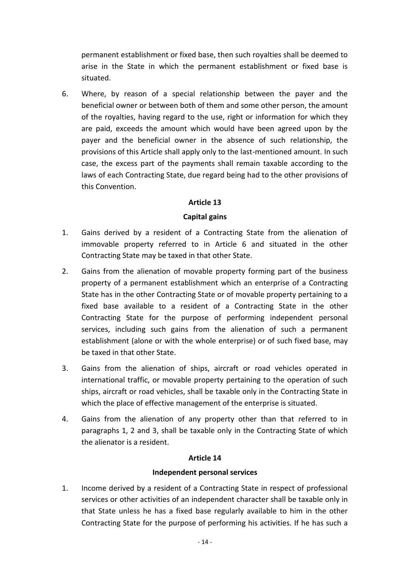permanent establishment or fixed base, then such royalties shall be deemed to arise in the State in which the permanent establishment or fixed base is situated.

6. Where, by reason of a special relationship between the payer and the beneficial owner or between both of them and some other person, the amount of the royalties, having regard to the use, right or information for which they are paid, exceeds the amount which would have been agreed upon by the payer and the beneficial owner in the absence of such relationship, the provisions of this Article shall apply only to the last-mentioned amount. In such case, the excess part of the payments shall remain taxable according to the laws of each Contracting State, due regard being had to the other provisions of this Convention.

## **Article 13**

## **Capital gains**

- 1. Gains derived by a resident of a Contracting State from the alienation of immovable property referred to in Article 6 and situated in the other Contracting State may be taxed in that other State.
- 2. Gains from the alienation of movable property forming part of the business property of a permanent establishment which an enterprise of a Contracting State has in the other Contracting State or of movable property pertaining to a fixed base available to a resident of a Contracting State in the other Contracting State for the purpose of performing independent personal services, including such gains from the alienation of such a permanent establishment (alone or with the whole enterprise) or of such fixed base, may be taxed in that other State.
- 3. Gains from the alienation of ships, aircraft or road vehicles operated in international traffic, or movable property pertaining to the operation of such ships, aircraft or road vehicles, shall be taxable only in the Contracting State in which the place of effective management of the enterprise is situated.
- 4. Gains from the alienation of any property other than that referred to in paragraphs 1, 2 and 3, shall be taxable only in the Contracting State of which the alienator is a resident.

#### **Article 14**

## **Independent personal services**

1. Income derived by a resident of a Contracting State in respect of professional services or other activities of an independent character shall be taxable only in that State unless he has a fixed base regularly available to him in the other Contracting State for the purpose of performing his activities. If he has such a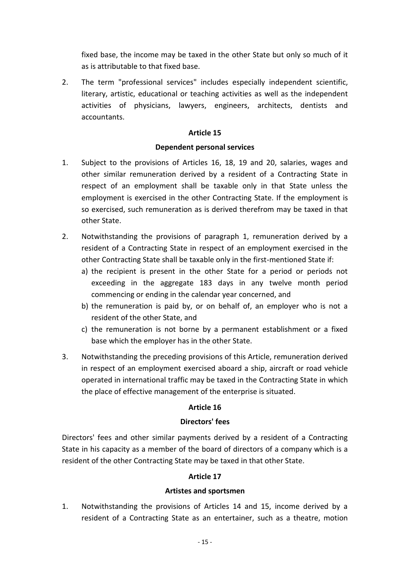fixed base, the income may be taxed in the other State but only so much of it as is attributable to that fixed base.

2. The term "professional services" includes especially independent scientific, literary, artistic, educational or teaching activities as well as the independent activities of physicians, lawyers, engineers, architects, dentists and accountants.

### **Article 15**

### **Dependent personal services**

- 1. Subject to the provisions of Articles 16, 18, 19 and 20, salaries, wages and other similar remuneration derived by a resident of a Contracting State in respect of an employment shall be taxable only in that State unless the employment is exercised in the other Contracting State. If the employment is so exercised, such remuneration as is derived therefrom may be taxed in that other State.
- 2. Notwithstanding the provisions of paragraph 1, remuneration derived by a resident of a Contracting State in respect of an employment exercised in the other Contracting State shall be taxable only in the first-mentioned State if:
	- a) the recipient is present in the other State for a period or periods not exceeding in the aggregate 183 days in any twelve month period commencing or ending in the calendar year concerned, and
	- b) the remuneration is paid by, or on behalf of, an employer who is not a resident of the other State, and
	- c) the remuneration is not borne by a permanent establishment or a fixed base which the employer has in the other State.
- 3. Notwithstanding the preceding provisions of this Article, remuneration derived in respect of an employment exercised aboard a ship, aircraft or road vehicle operated in international traffic may be taxed in the Contracting State in which the place of effective management of the enterprise is situated.

## **Article 16**

#### **Directors' fees**

Directors' fees and other similar payments derived by a resident of a Contracting State in his capacity as a member of the board of directors of a company which is a resident of the other Contracting State may be taxed in that other State.

## **Article 17**

#### **Artistes and sportsmen**

1. Notwithstanding the provisions of Articles 14 and 15, income derived by a resident of a Contracting State as an entertainer, such as a theatre, motion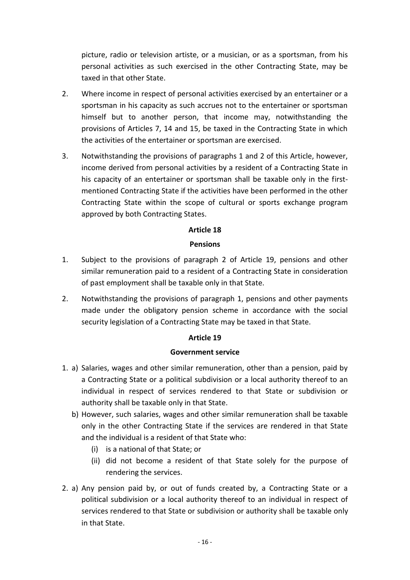picture, radio or television artiste, or a musician, or as a sportsman, from his personal activities as such exercised in the other Contracting State, may be taxed in that other State.

- 2. Where income in respect of personal activities exercised by an entertainer or a sportsman in his capacity as such accrues not to the entertainer or sportsman himself but to another person, that income may, notwithstanding the provisions of Articles 7, 14 and 15, be taxed in the Contracting State in which the activities of the entertainer or sportsman are exercised.
- 3. Notwithstanding the provisions of paragraphs 1 and 2 of this Article, however, income derived from personal activities by a resident of a Contracting State in his capacity of an entertainer or sportsman shall be taxable only in the firstmentioned Contracting State if the activities have been performed in the other Contracting State within the scope of cultural or sports exchange program approved by both Contracting States.

## **Article 18**

### **Pensions**

- 1. Subject to the provisions of paragraph 2 of Article 19, pensions and other similar remuneration paid to a resident of a Contracting State in consideration of past employment shall be taxable only in that State.
- 2. Notwithstanding the provisions of paragraph 1, pensions and other payments made under the obligatory pension scheme in accordance with the social security legislation of a Contracting State may be taxed in that State.

#### **Article 19**

#### **Government service**

- 1. a) Salaries, wages and other similar remuneration, other than a pension, paid by a Contracting State or a political subdivision or a local authority thereof to an individual in respect of services rendered to that State or subdivision or authority shall be taxable only in that State.
	- b) However, such salaries, wages and other similar remuneration shall be taxable only in the other Contracting State if the services are rendered in that State and the individual is a resident of that State who:
		- (i) is a national of that State; or
		- (ii) did not become a resident of that State solely for the purpose of rendering the services.
- 2. a) Any pension paid by, or out of funds created by, a Contracting State or a political subdivision or a local authority thereof to an individual in respect of services rendered to that State or subdivision or authority shall be taxable only in that State.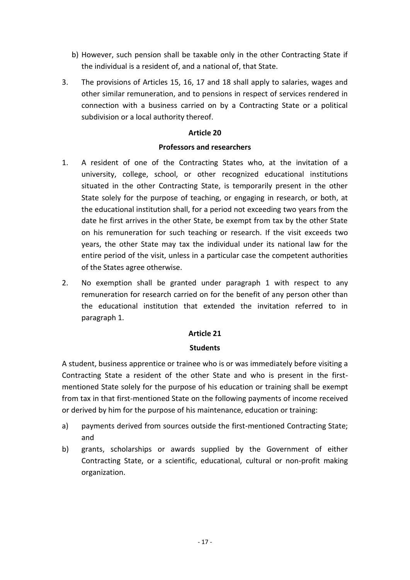- b) However, such pension shall be taxable only in the other Contracting State if the individual is a resident of, and a national of, that State.
- 3. The provisions of Articles 15, 16, 17 and 18 shall apply to salaries, wages and other similar remuneration, and to pensions in respect of services rendered in connection with a business carried on by a Contracting State or a political subdivision or a local authority thereof.

### **Article 20**

### **Professors and researchers**

- 1. A resident of one of the Contracting States who, at the invitation of a university, college, school, or other recognized educational institutions situated in the other Contracting State, is temporarily present in the other State solely for the purpose of teaching, or engaging in research, or both, at the educational institution shall, for a period not exceeding two years from the date he first arrives in the other State, be exempt from tax by the other State on his remuneration for such teaching or research. If the visit exceeds two years, the other State may tax the individual under its national law for the entire period of the visit, unless in a particular case the competent authorities of the States agree otherwise.
- 2. No exemption shall be granted under paragraph 1 with respect to any remuneration for research carried on for the benefit of any person other than the educational institution that extended the invitation referred to in paragraph 1.

## **Article 21**

## **Students**

A student, business apprentice or trainee who is or was immediately before visiting a Contracting State a resident of the other State and who is present in the firstmentioned State solely for the purpose of his education or training shall be exempt from tax in that first-mentioned State on the following payments of income received or derived by him for the purpose of his maintenance, education or training:

- a) payments derived from sources outside the first-mentioned Contracting State; and
- b) grants, scholarships or awards supplied by the Government of either Contracting State, or a scientific, educational, cultural or non-profit making organization.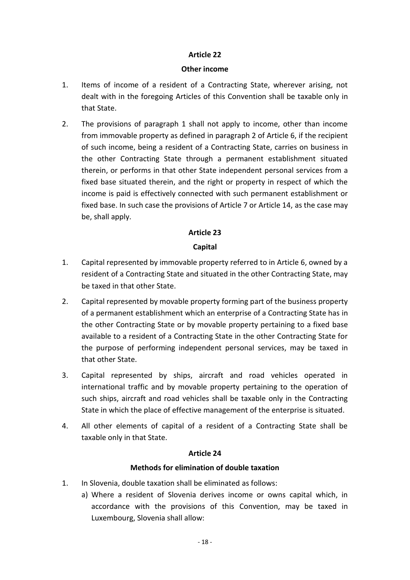### **Article 22**

#### **Other income**

- 1. Items of income of a resident of a Contracting State, wherever arising, not dealt with in the foregoing Articles of this Convention shall be taxable only in that State.
- 2. The provisions of paragraph 1 shall not apply to income, other than income from immovable property as defined in paragraph 2 of Article 6, if the recipient of such income, being a resident of a Contracting State, carries on business in the other Contracting State through a permanent establishment situated therein, or performs in that other State independent personal services from a fixed base situated therein, and the right or property in respect of which the income is paid is effectively connected with such permanent establishment or fixed base. In such case the provisions of Article 7 or Article 14, as the case may be, shall apply.

## **Article 23**

## **Capital**

- 1. Capital represented by immovable property referred to in Article 6, owned by a resident of a Contracting State and situated in the other Contracting State, may be taxed in that other State.
- 2. Capital represented by movable property forming part of the business property of a permanent establishment which an enterprise of a Contracting State has in the other Contracting State or by movable property pertaining to a fixed base available to a resident of a Contracting State in the other Contracting State for the purpose of performing independent personal services, may be taxed in that other State.
- 3. Capital represented by ships, aircraft and road vehicles operated in international traffic and by movable property pertaining to the operation of such ships, aircraft and road vehicles shall be taxable only in the Contracting State in which the place of effective management of the enterprise is situated.
- 4. All other elements of capital of a resident of a Contracting State shall be taxable only in that State.

## **Article 24**

## **Methods for elimination of double taxation**

- 1. In Slovenia, double taxation shall be eliminated as follows:
	- a) Where a resident of Slovenia derives income or owns capital which, in accordance with the provisions of this Convention, may be taxed in Luxembourg, Slovenia shall allow: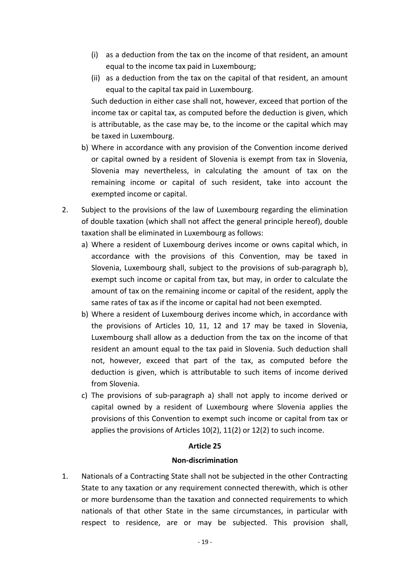- (i) as a deduction from the tax on the income of that resident, an amount equal to the income tax paid in Luxembourg;
- (ii) as a deduction from the tax on the capital of that resident, an amount equal to the capital tax paid in Luxembourg.

Such deduction in either case shall not, however, exceed that portion of the income tax or capital tax, as computed before the deduction is given, which is attributable, as the case may be, to the income or the capital which may be taxed in Luxembourg.

- b) Where in accordance with any provision of the Convention income derived or capital owned by a resident of Slovenia is exempt from tax in Slovenia, Slovenia may nevertheless, in calculating the amount of tax on the remaining income or capital of such resident, take into account the exempted income or capital.
- 2. Subject to the provisions of the law of Luxembourg regarding the elimination of double taxation (which shall not affect the general principle hereof), double taxation shall be eliminated in Luxembourg as follows:
	- a) Where a resident of Luxembourg derives income or owns capital which, in accordance with the provisions of this Convention, may be taxed in Slovenia, Luxembourg shall, subject to the provisions of sub-paragraph b), exempt such income or capital from tax, but may, in order to calculate the amount of tax on the remaining income or capital of the resident, apply the same rates of tax as if the income or capital had not been exempted.
	- b) Where a resident of Luxembourg derives income which, in accordance with the provisions of Articles 10, 11, 12 and 17 may be taxed in Slovenia, Luxembourg shall allow as a deduction from the tax on the income of that resident an amount equal to the tax paid in Slovenia. Such deduction shall not, however, exceed that part of the tax, as computed before the deduction is given, which is attributable to such items of income derived from Slovenia.
	- c) The provisions of sub-paragraph a) shall not apply to income derived or capital owned by a resident of Luxembourg where Slovenia applies the provisions of this Convention to exempt such income or capital from tax or applies the provisions of Articles 10(2), 11(2) or 12(2) to such income.

#### **Article 25**

#### **Non-discrimination**

1. Nationals of a Contracting State shall not be subjected in the other Contracting State to any taxation or any requirement connected therewith, which is other or more burdensome than the taxation and connected requirements to which nationals of that other State in the same circumstances, in particular with respect to residence, are or may be subjected. This provision shall,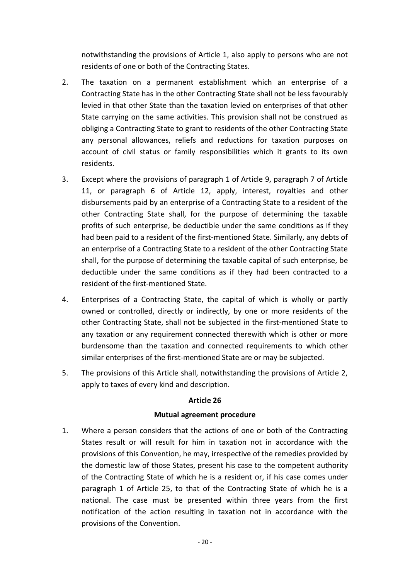notwithstanding the provisions of Article 1, also apply to persons who are not residents of one or both of the Contracting States.

- 2. The taxation on a permanent establishment which an enterprise of a Contracting State has in the other Contracting State shall not be less favourably levied in that other State than the taxation levied on enterprises of that other State carrying on the same activities. This provision shall not be construed as obliging a Contracting State to grant to residents of the other Contracting State any personal allowances, reliefs and reductions for taxation purposes on account of civil status or family responsibilities which it grants to its own residents.
- 3. Except where the provisions of paragraph 1 of Article 9, paragraph 7 of Article 11, or paragraph 6 of Article 12, apply, interest, royalties and other disbursements paid by an enterprise of a Contracting State to a resident of the other Contracting State shall, for the purpose of determining the taxable profits of such enterprise, be deductible under the same conditions as if they had been paid to a resident of the first-mentioned State. Similarly, any debts of an enterprise of a Contracting State to a resident of the other Contracting State shall, for the purpose of determining the taxable capital of such enterprise, be deductible under the same conditions as if they had been contracted to a resident of the first-mentioned State.
- 4. Enterprises of a Contracting State, the capital of which is wholly or partly owned or controlled, directly or indirectly, by one or more residents of the other Contracting State, shall not be subjected in the first-mentioned State to any taxation or any requirement connected therewith which is other or more burdensome than the taxation and connected requirements to which other similar enterprises of the first-mentioned State are or may be subjected.
- 5. The provisions of this Article shall, notwithstanding the provisions of Article 2, apply to taxes of every kind and description.

## **Article 26**

#### **Mutual agreement procedure**

1. Where a person considers that the actions of one or both of the Contracting States result or will result for him in taxation not in accordance with the provisions of this Convention, he may, irrespective of the remedies provided by the domestic law of those States, present his case to the competent authority of the Contracting State of which he is a resident or, if his case comes under paragraph 1 of Article 25, to that of the Contracting State of which he is a national. The case must be presented within three years from the first notification of the action resulting in taxation not in accordance with the provisions of the Convention.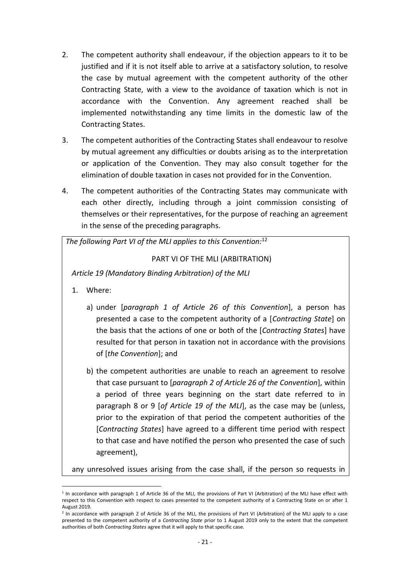- 2. The competent authority shall endeavour, if the objection appears to it to be justified and if it is not itself able to arrive at a satisfactory solution, to resolve the case by mutual agreement with the competent authority of the other Contracting State, with a view to the avoidance of taxation which is not in accordance with the Convention. Any agreement reached shall be implemented notwithstanding any time limits in the domestic law of the Contracting States.
- 3. The competent authorities of the Contracting States shall endeavour to resolve by mutual agreement any difficulties or doubts arising as to the interpretation or application of the Convention. They may also consult together for the elimination of double taxation in cases not provided for in the Convention.
- 4. The competent authorities of the Contracting States may communicate with each other directly, including through a joint commission consisting of themselves or their representatives, for the purpose of reaching an agreement in the sense of the preceding paragraphs.

*The following Part VI of the MLI applies to this Convention:*<sup>12</sup>

PART VI OF THE MLI (ARBITRATION)

*Article 19 (Mandatory Binding Arbitration) of the MLI*

1. Where:

1

- a) under [*paragraph 1 of Article 26 of this Convention*], a person has presented a case to the competent authority of a [*Contracting State*] on the basis that the actions of one or both of the [*Contracting States*] have resulted for that person in taxation not in accordance with the provisions of [*the Convention*]; and
- b) the competent authorities are unable to reach an agreement to resolve that case pursuant to [*paragraph 2 of Article 26 of the Convention*], within a period of three years beginning on the start date referred to in paragraph 8 or 9 [*of Article 19 of the MLI*], as the case may be (unless, prior to the expiration of that period the competent authorities of the [*Contracting States*] have agreed to a different time period with respect to that case and have notified the person who presented the case of such agreement),

any unresolved issues arising from the case shall, if the person so requests in

<sup>1</sup> In accordance with paragraph 1 of Article 36 of the MLI, the provisions of Part VI (Arbitration) of the MLI have effect with respect to this Convention with respect to cases presented to the competent authority of a Contracting State on or after 1 August 2019.

<sup>2</sup> In accordance with paragraph 2 of Article 36 of the MLI, the provisions of Part VI (Arbitration) of the MLI apply to a case presented to the competent authority of a *Contracting State* prior to 1 August 2019 only to the extent that the competent authorities of both *Contracting States* agree that it will apply to that specific case.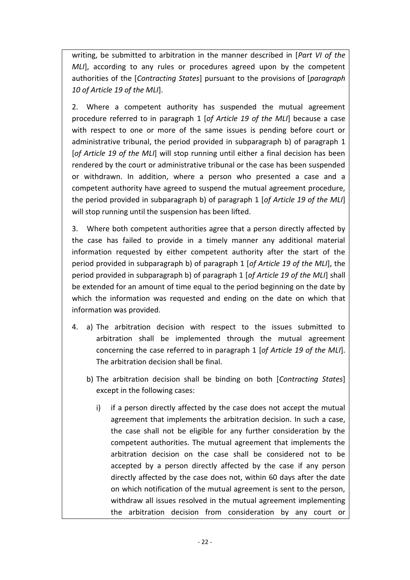writing, be submitted to arbitration in the manner described in [*Part VI of the MLI*], according to any rules or procedures agreed upon by the competent authorities of the [*Contracting States*] pursuant to the provisions of [*paragraph 10 of Article 19 of the MLI*].

2. Where a competent authority has suspended the mutual agreement procedure referred to in paragraph 1 [*of Article 19 of the MLI*] because a case with respect to one or more of the same issues is pending before court or administrative tribunal, the period provided in subparagraph b) of paragraph 1 [*of Article 19 of the MLI*] will stop running until either a final decision has been rendered by the court or administrative tribunal or the case has been suspended or withdrawn. In addition, where a person who presented a case and a competent authority have agreed to suspend the mutual agreement procedure, the period provided in subparagraph b) of paragraph 1 [*of Article 19 of the MLI*] will stop running until the suspension has been lifted.

3. Where both competent authorities agree that a person directly affected by the case has failed to provide in a timely manner any additional material information requested by either competent authority after the start of the period provided in subparagraph b) of paragraph 1 [*of Article 19 of the MLI*], the period provided in subparagraph b) of paragraph 1 [*of Article 19 of the MLI*] shall be extended for an amount of time equal to the period beginning on the date by which the information was requested and ending on the date on which that information was provided.

- 4. a) The arbitration decision with respect to the issues submitted to arbitration shall be implemented through the mutual agreement concerning the case referred to in paragraph 1 [*of Article 19 of the MLI*]. The arbitration decision shall be final.
	- b) The arbitration decision shall be binding on both [*Contracting States*] except in the following cases:
		- i) if a person directly affected by the case does not accept the mutual agreement that implements the arbitration decision. In such a case, the case shall not be eligible for any further consideration by the competent authorities. The mutual agreement that implements the arbitration decision on the case shall be considered not to be accepted by a person directly affected by the case if any person directly affected by the case does not, within 60 days after the date on which notification of the mutual agreement is sent to the person, withdraw all issues resolved in the mutual agreement implementing the arbitration decision from consideration by any court or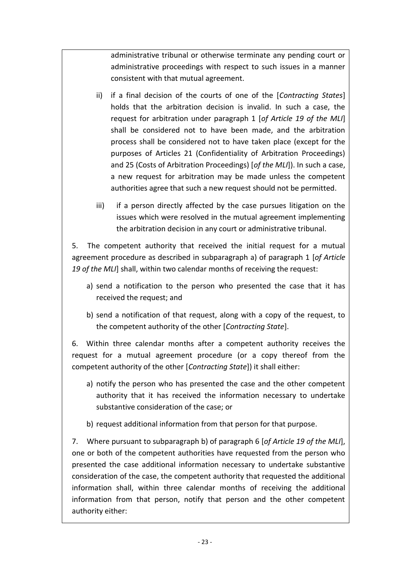administrative tribunal or otherwise terminate any pending court or administrative proceedings with respect to such issues in a manner consistent with that mutual agreement.

- ii) if a final decision of the courts of one of the [*Contracting States*] holds that the arbitration decision is invalid. In such a case, the request for arbitration under paragraph 1 [*of Article 19 of the MLI*] shall be considered not to have been made, and the arbitration process shall be considered not to have taken place (except for the purposes of Articles 21 (Confidentiality of Arbitration Proceedings) and 25 (Costs of Arbitration Proceedings) [*of the MLI*]). In such a case, a new request for arbitration may be made unless the competent authorities agree that such a new request should not be permitted.
- iii) if a person directly affected by the case pursues litigation on the issues which were resolved in the mutual agreement implementing the arbitration decision in any court or administrative tribunal.

5. The competent authority that received the initial request for a mutual agreement procedure as described in subparagraph a) of paragraph 1 [*of Article 19 of the MLI*] shall, within two calendar months of receiving the request:

- a) send a notification to the person who presented the case that it has received the request; and
- b) send a notification of that request, along with a copy of the request, to the competent authority of the other [*Contracting State*].

6. Within three calendar months after a competent authority receives the request for a mutual agreement procedure (or a copy thereof from the competent authority of the other [*Contracting State*]) it shall either:

- a) notify the person who has presented the case and the other competent authority that it has received the information necessary to undertake substantive consideration of the case; or
- b) request additional information from that person for that purpose.

7. Where pursuant to subparagraph b) of paragraph 6 [*of Article 19 of the MLI*], one or both of the competent authorities have requested from the person who presented the case additional information necessary to undertake substantive consideration of the case, the competent authority that requested the additional information shall, within three calendar months of receiving the additional information from that person, notify that person and the other competent authority either: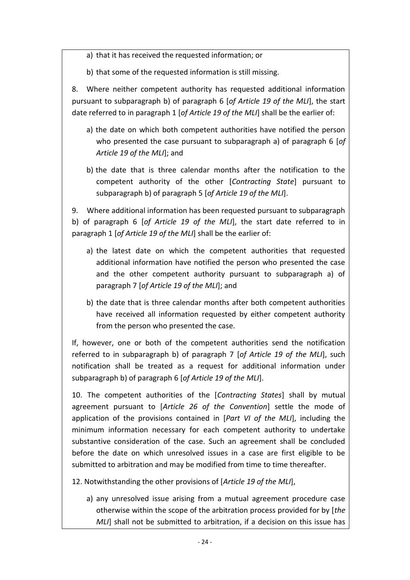a) that it has received the requested information; or

b) that some of the requested information is still missing.

8. Where neither competent authority has requested additional information pursuant to subparagraph b) of paragraph 6 [*of Article 19 of the MLI*], the start date referred to in paragraph 1 [*of Article 19 of the MLI*] shall be the earlier of:

- a) the date on which both competent authorities have notified the person who presented the case pursuant to subparagraph a) of paragraph 6 [*of Article 19 of the MLI*]; and
- b) the date that is three calendar months after the notification to the competent authority of the other [*Contracting State*] pursuant to subparagraph b) of paragraph 5 [*of Article 19 of the MLI*].

9. Where additional information has been requested pursuant to subparagraph b) of paragraph 6 [*of Article 19 of the MLI*], the start date referred to in paragraph 1 [*of Article 19 of the MLI*] shall be the earlier of:

- a) the latest date on which the competent authorities that requested additional information have notified the person who presented the case and the other competent authority pursuant to subparagraph a) of paragraph 7 [*of Article 19 of the MLI*]; and
- b) the date that is three calendar months after both competent authorities have received all information requested by either competent authority from the person who presented the case.

If, however, one or both of the competent authorities send the notification referred to in subparagraph b) of paragraph 7 [*of Article 19 of the MLI*], such notification shall be treated as a request for additional information under subparagraph b) of paragraph 6 [*of Article 19 of the MLI*].

10. The competent authorities of the [*Contracting States*] shall by mutual agreement pursuant to [*Article 26 of the Convention*] settle the mode of application of the provisions contained in [*Part VI of the MLI*], including the minimum information necessary for each competent authority to undertake substantive consideration of the case. Such an agreement shall be concluded before the date on which unresolved issues in a case are first eligible to be submitted to arbitration and may be modified from time to time thereafter.

12. Notwithstanding the other provisions of [*Article 19 of the MLI*],

a) any unresolved issue arising from a mutual agreement procedure case otherwise within the scope of the arbitration process provided for by [*the MLI*] shall not be submitted to arbitration, if a decision on this issue has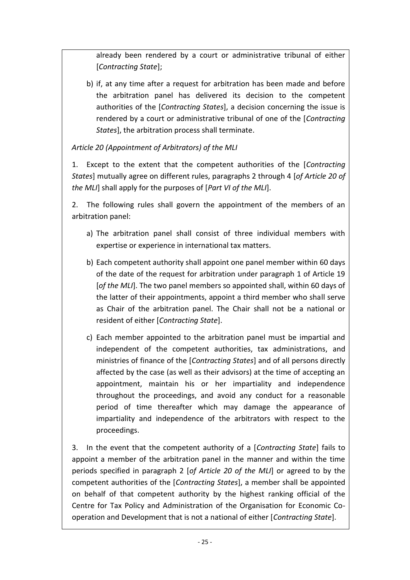already been rendered by a court or administrative tribunal of either [*Contracting State*];

b) if, at any time after a request for arbitration has been made and before the arbitration panel has delivered its decision to the competent authorities of the [*Contracting States*], a decision concerning the issue is rendered by a court or administrative tribunal of one of the [*Contracting States*], the arbitration process shall terminate.

*Article 20 (Appointment of Arbitrators) of the MLI*

1. Except to the extent that the competent authorities of the [*Contracting States*] mutually agree on different rules, paragraphs 2 through 4 [*of Article 20 of the MLI*] shall apply for the purposes of [*Part VI of the MLI*].

2. The following rules shall govern the appointment of the members of an arbitration panel:

- a) The arbitration panel shall consist of three individual members with expertise or experience in international tax matters.
- b) Each competent authority shall appoint one panel member within 60 days of the date of the request for arbitration under paragraph 1 of Article 19 [*of the MLI*]. The two panel members so appointed shall, within 60 days of the latter of their appointments, appoint a third member who shall serve as Chair of the arbitration panel. The Chair shall not be a national or resident of either [*Contracting State*].
- c) Each member appointed to the arbitration panel must be impartial and independent of the competent authorities, tax administrations, and ministries of finance of the [*Contracting States*] and of all persons directly affected by the case (as well as their advisors) at the time of accepting an appointment, maintain his or her impartiality and independence throughout the proceedings, and avoid any conduct for a reasonable period of time thereafter which may damage the appearance of impartiality and independence of the arbitrators with respect to the proceedings.

3. In the event that the competent authority of a [*Contracting State*] fails to appoint a member of the arbitration panel in the manner and within the time periods specified in paragraph 2 [*of Article 20 of the MLI*] or agreed to by the competent authorities of the [*Contracting States*], a member shall be appointed on behalf of that competent authority by the highest ranking official of the Centre for Tax Policy and Administration of the Organisation for Economic Cooperation and Development that is not a national of either [*Contracting State*].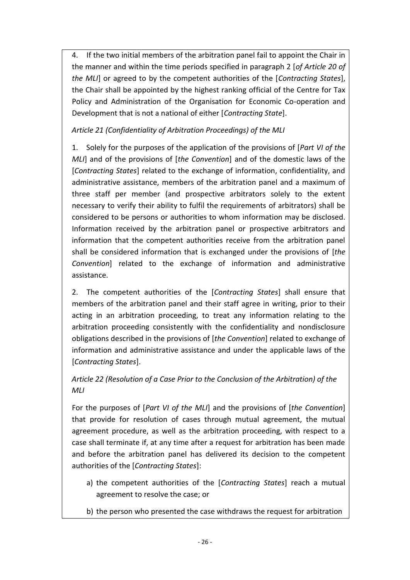4. If the two initial members of the arbitration panel fail to appoint the Chair in the manner and within the time periods specified in paragraph 2 [*of Article 20 of the MLI*] or agreed to by the competent authorities of the [*Contracting States*], the Chair shall be appointed by the highest ranking official of the Centre for Tax Policy and Administration of the Organisation for Economic Co-operation and Development that is not a national of either [*Contracting State*].

# *Article 21 (Confidentiality of Arbitration Proceedings) of the MLI*

1. Solely for the purposes of the application of the provisions of [*Part VI of the MLI*] and of the provisions of [*the Convention*] and of the domestic laws of the [*Contracting States*] related to the exchange of information, confidentiality, and administrative assistance, members of the arbitration panel and a maximum of three staff per member (and prospective arbitrators solely to the extent necessary to verify their ability to fulfil the requirements of arbitrators) shall be considered to be persons or authorities to whom information may be disclosed. Information received by the arbitration panel or prospective arbitrators and information that the competent authorities receive from the arbitration panel shall be considered information that is exchanged under the provisions of [*the Convention*] related to the exchange of information and administrative assistance.

2. The competent authorities of the [*Contracting States*] shall ensure that members of the arbitration panel and their staff agree in writing, prior to their acting in an arbitration proceeding, to treat any information relating to the arbitration proceeding consistently with the confidentiality and nondisclosure obligations described in the provisions of [*the Convention*] related to exchange of information and administrative assistance and under the applicable laws of the [*Contracting States*].

# *Article 22 (Resolution of a Case Prior to the Conclusion of the Arbitration) of the MLI*

For the purposes of [*Part VI of the MLI*] and the provisions of [*the Convention*] that provide for resolution of cases through mutual agreement, the mutual agreement procedure, as well as the arbitration proceeding, with respect to a case shall terminate if, at any time after a request for arbitration has been made and before the arbitration panel has delivered its decision to the competent authorities of the [*Contracting States*]:

- a) the competent authorities of the [*Contracting States*] reach a mutual agreement to resolve the case; or
- b) the person who presented the case withdraws the request for arbitration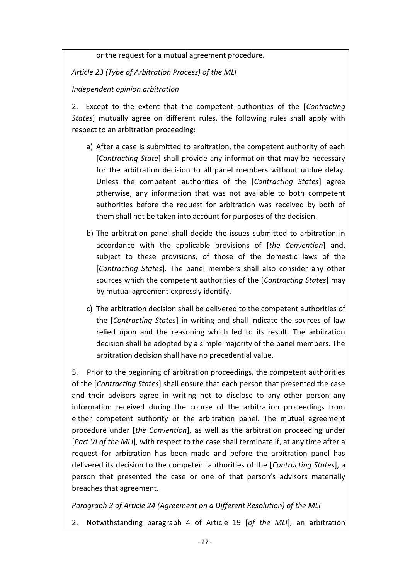or the request for a mutual agreement procedure.

*Article 23 (Type of Arbitration Process) of the MLI*

## *Independent opinion arbitration*

2. Except to the extent that the competent authorities of the [*Contracting States*] mutually agree on different rules, the following rules shall apply with respect to an arbitration proceeding:

- a) After a case is submitted to arbitration, the competent authority of each [*Contracting State*] shall provide any information that may be necessary for the arbitration decision to all panel members without undue delay. Unless the competent authorities of the [*Contracting States*] agree otherwise, any information that was not available to both competent authorities before the request for arbitration was received by both of them shall not be taken into account for purposes of the decision.
- b) The arbitration panel shall decide the issues submitted to arbitration in accordance with the applicable provisions of [*the Convention*] and, subject to these provisions, of those of the domestic laws of the [*Contracting States*]. The panel members shall also consider any other sources which the competent authorities of the [*Contracting States*] may by mutual agreement expressly identify.
- c) The arbitration decision shall be delivered to the competent authorities of the [*Contracting States*] in writing and shall indicate the sources of law relied upon and the reasoning which led to its result. The arbitration decision shall be adopted by a simple majority of the panel members. The arbitration decision shall have no precedential value.

5. Prior to the beginning of arbitration proceedings, the competent authorities of the [*Contracting States*] shall ensure that each person that presented the case and their advisors agree in writing not to disclose to any other person any information received during the course of the arbitration proceedings from either competent authority or the arbitration panel. The mutual agreement procedure under [*the Convention*], as well as the arbitration proceeding under [*Part VI of the MLI*], with respect to the case shall terminate if, at any time after a request for arbitration has been made and before the arbitration panel has delivered its decision to the competent authorities of the [*Contracting States*], a person that presented the case or one of that person's advisors materially breaches that agreement.

## *Paragraph 2 of Article 24 (Agreement on a Different Resolution) of the MLI*

2. Notwithstanding paragraph 4 of Article 19 [*of the MLI*], an arbitration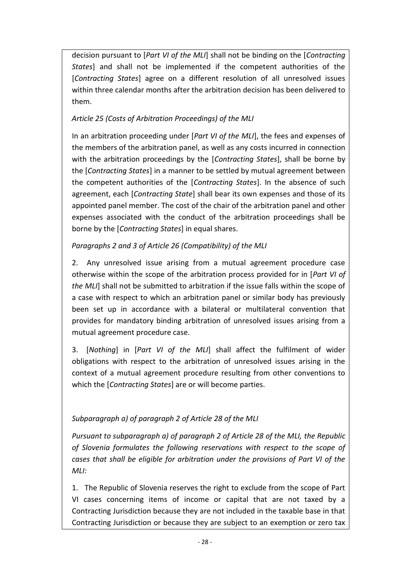decision pursuant to [*Part VI of the MLI*] shall not be binding on the [*Contracting States*] and shall not be implemented if the competent authorities of the [*Contracting States*] agree on a different resolution of all unresolved issues within three calendar months after the arbitration decision has been delivered to them.

# *Article 25 (Costs of Arbitration Proceedings) of the MLI*

In an arbitration proceeding under [*Part VI of the MLI*], the fees and expenses of the members of the arbitration panel, as well as any costs incurred in connection with the arbitration proceedings by the [*Contracting States*], shall be borne by the [*Contracting States*] in a manner to be settled by mutual agreement between the competent authorities of the [*Contracting States*]. In the absence of such agreement, each [*Contracting State*] shall bear its own expenses and those of its appointed panel member. The cost of the chair of the arbitration panel and other expenses associated with the conduct of the arbitration proceedings shall be borne by the [*Contracting States*] in equal shares.

# *Paragraphs 2 and 3 of Article 26 (Compatibility) of the MLI*

2. Any unresolved issue arising from a mutual agreement procedure case otherwise within the scope of the arbitration process provided for in [*Part VI of the MLI*] shall not be submitted to arbitration if the issue falls within the scope of a case with respect to which an arbitration panel or similar body has previously been set up in accordance with a bilateral or multilateral convention that provides for mandatory binding arbitration of unresolved issues arising from a mutual agreement procedure case.

3. [*Nothing*] in [*Part VI of the MLI*] shall affect the fulfilment of wider obligations with respect to the arbitration of unresolved issues arising in the context of a mutual agreement procedure resulting from other conventions to which the [*Contracting States*] are or will become parties.

# *Subparagraph a) of paragraph 2 of Article 28 of the MLI*

*Pursuant to subparagraph a) of paragraph 2 of Article 28 of the MLI, the Republic of Slovenia formulates the following reservations with respect to the scope of cases that shall be eligible for arbitration under the provisions of Part VI of the MLI:*

1. The Republic of Slovenia reserves the right to exclude from the scope of Part VI cases concerning items of income or capital that are not taxed by a Contracting Jurisdiction because they are not included in the taxable base in that Contracting Jurisdiction or because they are subject to an exemption or zero tax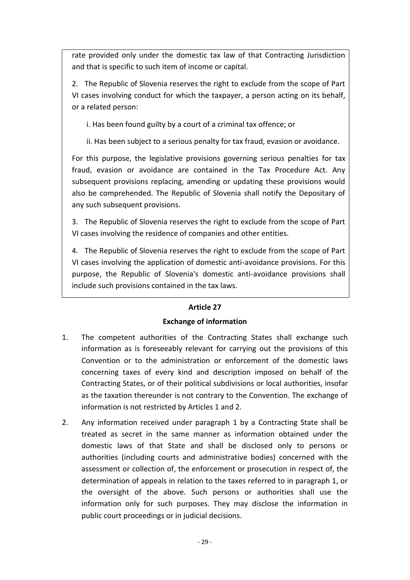rate provided only under the domestic tax law of that Contracting Jurisdiction and that is specific to such item of income or capital.

2. The Republic of Slovenia reserves the right to exclude from the scope of Part VI cases involving conduct for which the taxpayer, a person acting on its behalf, or a related person:

i. Has been found guilty by a court of a criminal tax offence; or

ii. Has been subject to a serious penalty for tax fraud, evasion or avoidance.

For this purpose, the legislative provisions governing serious penalties for tax fraud, evasion or avoidance are contained in the Tax Procedure Act. Any subsequent provisions replacing, amending or updating these provisions would also be comprehended. The Republic of Slovenia shall notify the Depositary of any such subsequent provisions.

3. The Republic of Slovenia reserves the right to exclude from the scope of Part VI cases involving the residence of companies and other entities.

4. The Republic of Slovenia reserves the right to exclude from the scope of Part VI cases involving the application of domestic anti-avoidance provisions. For this purpose, the Republic of Slovenia's domestic anti-avoidance provisions shall include such provisions contained in the tax laws.

## **Article 27**

## **Exchange of information**

- 1. The competent authorities of the Contracting States shall exchange such information as is foreseeably relevant for carrying out the provisions of this Convention or to the administration or enforcement of the domestic laws concerning taxes of every kind and description imposed on behalf of the Contracting States, or of their political subdivisions or local authorities, insofar as the taxation thereunder is not contrary to the Convention. The exchange of information is not restricted by Articles 1 and 2.
- 2. Any information received under paragraph 1 by a Contracting State shall be treated as secret in the same manner as information obtained under the domestic laws of that State and shall be disclosed only to persons or authorities (including courts and administrative bodies) concerned with the assessment or collection of, the enforcement or prosecution in respect of, the determination of appeals in relation to the taxes referred to in paragraph 1, or the oversight of the above. Such persons or authorities shall use the information only for such purposes. They may disclose the information in public court proceedings or in judicial decisions.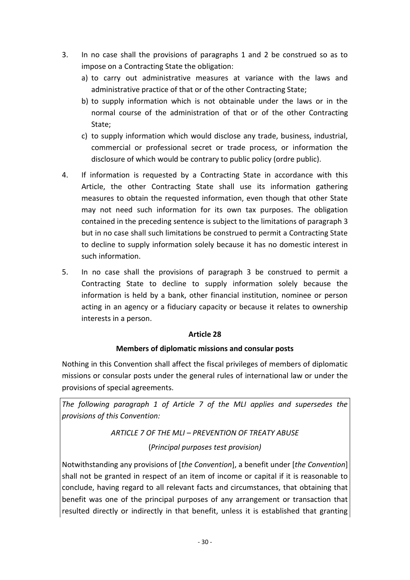- 3. In no case shall the provisions of paragraphs 1 and 2 be construed so as to impose on a Contracting State the obligation:
	- a) to carry out administrative measures at variance with the laws and administrative practice of that or of the other Contracting State;
	- b) to supply information which is not obtainable under the laws or in the normal course of the administration of that or of the other Contracting State;
	- c) to supply information which would disclose any trade, business, industrial, commercial or professional secret or trade process, or information the disclosure of which would be contrary to public policy (ordre public).
- 4. If information is requested by a Contracting State in accordance with this Article, the other Contracting State shall use its information gathering measures to obtain the requested information, even though that other State may not need such information for its own tax purposes. The obligation contained in the preceding sentence is subject to the limitations of paragraph 3 but in no case shall such limitations be construed to permit a Contracting State to decline to supply information solely because it has no domestic interest in such information.
- 5. In no case shall the provisions of paragraph 3 be construed to permit a Contracting State to decline to supply information solely because the information is held by a bank, other financial institution, nominee or person acting in an agency or a fiduciary capacity or because it relates to ownership interests in a person.

## **Article 28**

## **Members of diplomatic missions and consular posts**

Nothing in this Convention shall affect the fiscal privileges of members of diplomatic missions or consular posts under the general rules of international law or under the provisions of special agreements.

*The following paragraph 1 of Article 7 of the MLI applies and supersedes the provisions of this Convention:*

> *ARTICLE 7 OF THE MLI – PREVENTION OF TREATY ABUSE* (*Principal purposes test provision)*

Notwithstanding any provisions of [*the Convention*], a benefit under [*the Convention*] shall not be granted in respect of an item of income or capital if it is reasonable to conclude, having regard to all relevant facts and circumstances, that obtaining that benefit was one of the principal purposes of any arrangement or transaction that resulted directly or indirectly in that benefit, unless it is established that granting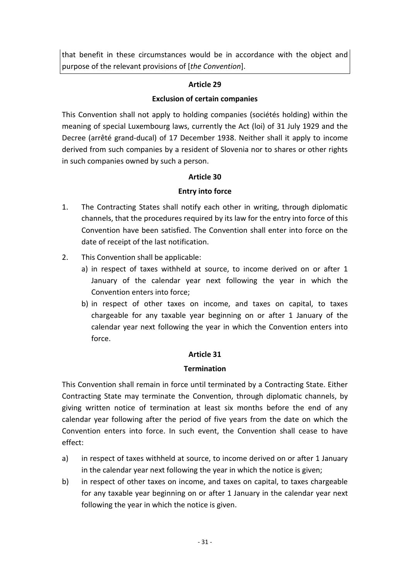that benefit in these circumstances would be in accordance with the object and purpose of the relevant provisions of [*the Convention*].

## **Article 29**

## **Exclusion of certain companies**

This Convention shall not apply to holding companies (sociétés holding) within the meaning of special Luxembourg laws, currently the Act (loi) of 31 July 1929 and the Decree (arrêté grand-ducal) of 17 December 1938. Neither shall it apply to income derived from such companies by a resident of Slovenia nor to shares or other rights in such companies owned by such a person.

## **Article 30**

## **Entry into force**

- 1. The Contracting States shall notify each other in writing, through diplomatic channels, that the procedures required by its law for the entry into force of this Convention have been satisfied. The Convention shall enter into force on the date of receipt of the last notification.
- 2. This Convention shall be applicable:
	- a) in respect of taxes withheld at source, to income derived on or after 1 January of the calendar year next following the year in which the Convention enters into force;
	- b) in respect of other taxes on income, and taxes on capital, to taxes chargeable for any taxable year beginning on or after 1 January of the calendar year next following the year in which the Convention enters into force.

## **Article 31**

## **Termination**

This Convention shall remain in force until terminated by a Contracting State. Either Contracting State may terminate the Convention, through diplomatic channels, by giving written notice of termination at least six months before the end of any calendar year following after the period of five years from the date on which the Convention enters into force. In such event, the Convention shall cease to have effect:

- a) in respect of taxes withheld at source, to income derived on or after 1 January in the calendar year next following the year in which the notice is given;
- b) in respect of other taxes on income, and taxes on capital, to taxes chargeable for any taxable year beginning on or after 1 January in the calendar year next following the year in which the notice is given.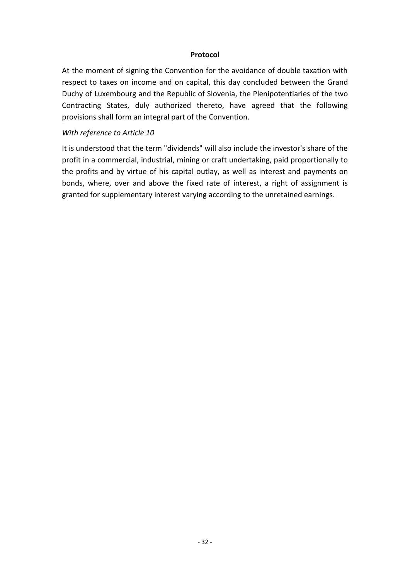### **Protocol**

At the moment of signing the Convention for the avoidance of double taxation with respect to taxes on income and on capital, this day concluded between the Grand Duchy of Luxembourg and the Republic of Slovenia, the Plenipotentiaries of the two Contracting States, duly authorized thereto, have agreed that the following provisions shall form an integral part of the Convention.

### *With reference to Article 10*

It is understood that the term "dividends" will also include the investor's share of the profit in a commercial, industrial, mining or craft undertaking, paid proportionally to the profits and by virtue of his capital outlay, as well as interest and payments on bonds, where, over and above the fixed rate of interest, a right of assignment is granted for supplementary interest varying according to the unretained earnings.